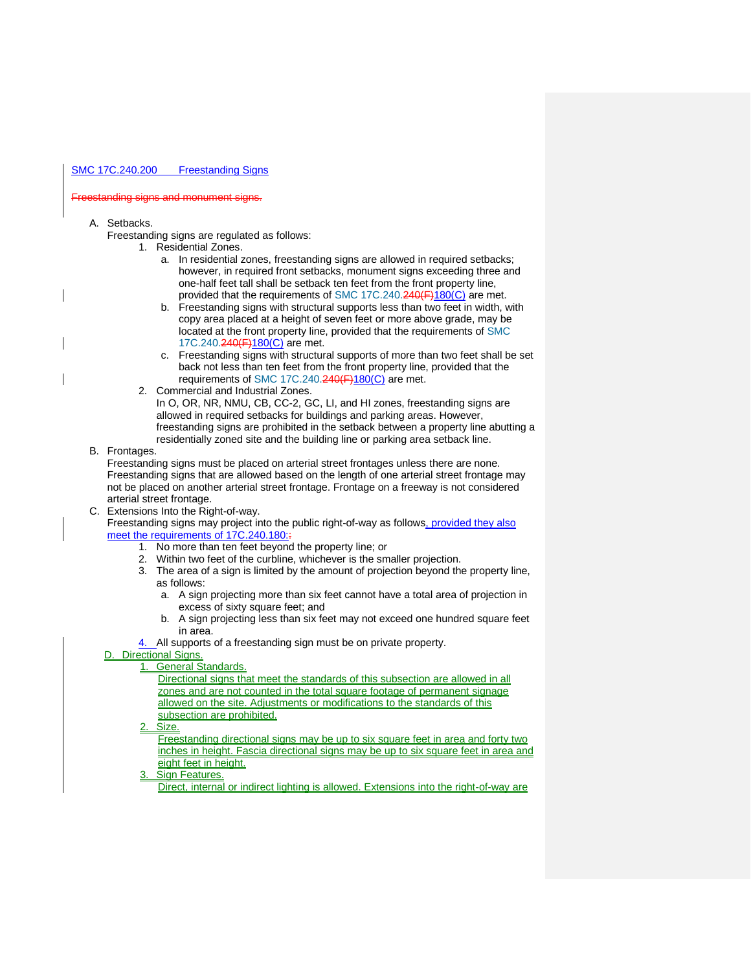### SMC 17C.240.200 Freestanding Signs

### Freestanding signs and monument signs.

- A. Setbacks.
	- Freestanding signs are regulated as follows:
		- 1. Residential Zones.
			- a. In residential zones, freestanding signs are allowed in required setbacks; however, in required front setbacks, monument signs exceeding three and one-half feet tall shall be setback ten feet from the front property line, provided that the requirements of [SMC 17C.240.240\(F\)180\(](https://my.spokanecity.org/legacy-sites/SMCUpload/frmUpdateCode.aspx#SMC%2017C.240.240(F))C) are met.
			- b. Freestanding signs with structural supports less than two feet in width, with copy area placed at a height of seven feet or more above grade, may be located at the front property line, provided that the requirements of [SMC](https://my.spokanecity.org/legacy-sites/SMCUpload/frmUpdateCode.aspx#SMC%2017C.240.240(F))  [17C.240.240\(F\)180\(C\)](https://my.spokanecity.org/legacy-sites/SMCUpload/frmUpdateCode.aspx#SMC%2017C.240.240(F)) are met.
			- c. Freestanding signs with structural supports of more than two feet shall be set back not less than ten feet from the front property line, provided that the requirements of [SMC 17C.240.240\(F\)180\(C\)](https://my.spokanecity.org/legacy-sites/SMCUpload/frmUpdateCode.aspx#SMC%2017C.240.240(F)) are met.
		- 2. Commercial and Industrial Zones.
			- In O, OR, NR, NMU, CB, CC-2, GC, LI, and HI zones, freestanding signs are allowed in required setbacks for buildings and parking areas. However, freestanding signs are prohibited in the setback between a property line abutting a residentially zoned site and the building line or parking area setback line.
- B. Frontages.

Freestanding signs must be placed on arterial street frontages unless there are none. Freestanding signs that are allowed based on the length of one arterial street frontage may not be placed on another arterial street frontage. Frontage on a freeway is not considered arterial street frontage.

C. Extensions Into the Right-of-way.

Freestanding signs may project into the public right-of-way as follows, provided they also meet the requirements of 17C.240.180::

- 1. No more than ten feet beyond the property line; or
- 2. Within two feet of the curbline, whichever is the smaller projection.
- 3. The area of a sign is limited by the amount of projection beyond the property line, as follows:
	- a. A sign projecting more than six feet cannot have a total area of projection in excess of sixty square feet; and
	- b. A sign projecting less than six feet may not exceed one hundred square feet in area.
	- All supports of a freestanding sign must be on private property.
- D. Directional Signs.

## 1. General Standards.

- Directional signs that meet the standards of this subsection are allowed in all zones and are not counted in the total square footage of permanent signage allowed on the site. Adjustments or modifications to the standards of this subsection are prohibited.
- Size.

Freestanding directional signs may be up to six square feet in area and forty two inches in height. Fascia directional signs may be up to six square feet in area and eight feet in height.

**Sign Features.** 

Direct, internal or indirect lighting is allowed. Extensions into the right-of-way are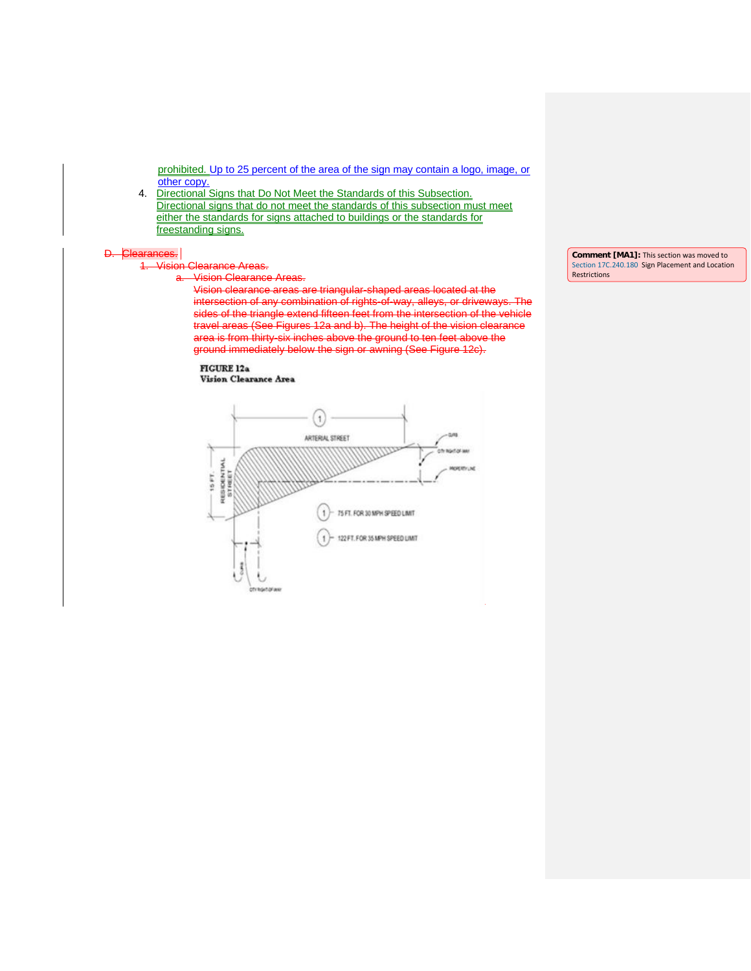prohibited. Up to 25 percent of the area of the sign may contain a logo, image, or other copy.

4. Directional Signs that Do Not Meet the Standards of this Subsection. Directional signs that do not meet the standards of this subsection must meet either the standards for signs attached to buildings or the standards for freestanding signs.

# $\frac{D. \left| \text{Clear}}{4.} \right|$

# **Vision Clearance Areas.**

a. Vision Clearance Areas.

Vision clearance areas are triangular-shaped areas located at the intersection of any combination of rights-of-way, alleys, or driveways. The sides of the triangle extend fifteen feet from the intersection of the vehicle travel areas (See Figures 12a and b). The height of the vision clearance area is from thirty-six inches above the ground to ten feet above the ground immediately below the sign or awning (See Figure 12c).

### **FIGURE 12a** Vision Clearance Area



**Comment [MA1]:** This section was moved to [Section 17C.240.180](https://my.spokanecity.org/smc/?Section=17C.240.240) Sign Placement and Location Restrictions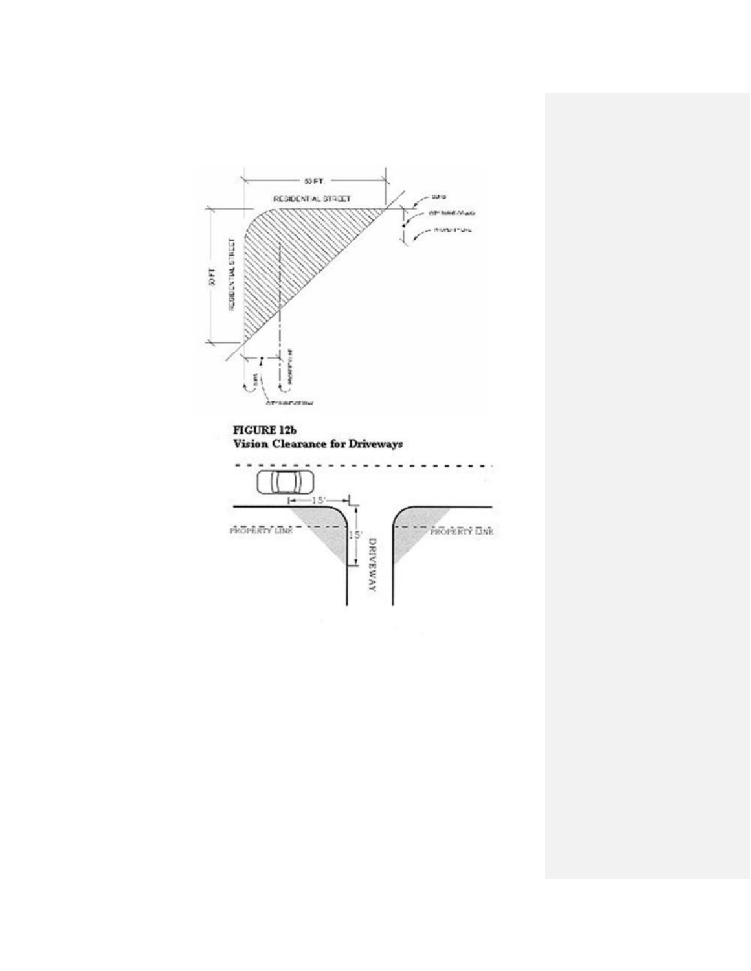